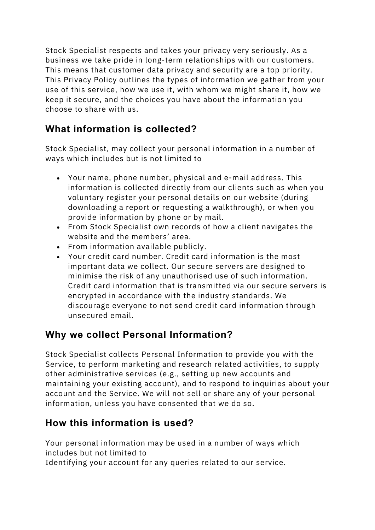Stock Specialist respects and takes your privacy very seriously. As a business we take pride in long-term relationships with our customers. This means that customer data privacy and security are a top priority. This Privacy Policy outlines the types of information we gather from your use of this service, how we use it, with whom we might share it, how we keep it secure, and the choices you have about the information you choose to share with us.

# **What information is collected?**

Stock Specialist, may collect your personal information in a number of ways which includes but is not limited to

- Your name, phone number, physical and e-mail address. This information is collected directly from our clients such as when you voluntary register your personal details on our website (during downloading a report or requesting a walkthrough), or when you provide information by phone or by mail.
- From Stock Specialist own records of how a client navigates the website and the members' area.
- From information available publicly.
- Your credit card number. Credit card information is the most important data we collect. Our secure servers are designed to minimise the risk of any unauthorised use of such information. Credit card information that is transmitted via our secure servers is encrypted in accordance with the industry standards. We discourage everyone to not send credit card information through unsecured email.

# **Why we collect Personal Information?**

Stock Specialist collects Personal Information to provide you with the Service, to perform marketing and research related activities, to supply other administrative services (e.g., setting up new accounts and maintaining your existing account), and to respond to inquiries about your account and the Service. We will not sell or share any of your personal information, unless you have consented that we do so.

# **How this information is used?**

Your personal information may be used in a number of ways which includes but not limited to

Identifying your account for any queries related to our service.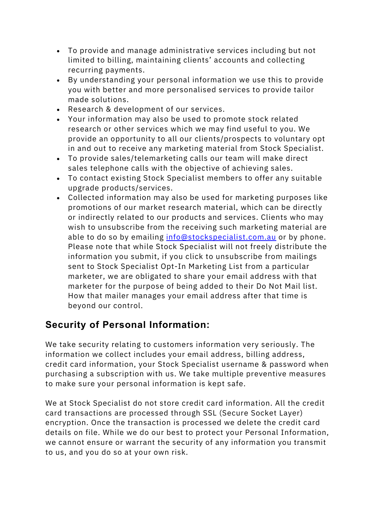- To provide and manage administrative services including but not limited to billing, maintaining clients' accounts and collecting recurring payments.
- By understanding your personal information we use this to provide you with better and more personalised services to provide tailor made solutions.
- Research & development of our services.
- Your information may also be used to promote stock related research or other services which we may find useful to you. We provide an opportunity to all our clients/prospects to voluntary opt in and out to receive any marketing material from Stock Specialist.
- To provide sales/telemarketing calls our team will make direct sales telephone calls with the objective of achieving sales.
- To contact existing Stock Specialist members to offer any suitable upgrade products/services.
- Collected information may also be used for marketing purposes like promotions of our market research material, which can be directly or indirectly related to our products and services. Clients who may wish to unsubscribe from the receiving such marketing material are able to do so by emailing info@stockspecialist.com.au or by phone. Please note that while Stock Specialist will not freely distribute the information you submit, if you click to unsubscribe from mailings sent to Stock Specialist Opt-In Marketing List from a particular marketer, we are obligated to share your email address with that marketer for the purpose of being added to their Do Not Mail list. How that mailer manages your email address after that time is beyond our control.

# **Security of Personal Information:**

We take security relating to customers information very seriously. The information we collect includes your email address, billing address, credit card information, your Stock Specialist username & password when purchasing a subscription with us. We take multiple preventive measures to make sure your personal information is kept safe.

We at Stock Specialist do not store credit card information. All the credit card transactions are processed through SSL (Secure Socket Layer) encryption. Once the transaction is processed we delete the credit card details on file. While we do our best to protect your Personal Information, we cannot ensure or warrant the security of any information you transmit to us, and you do so at your own risk.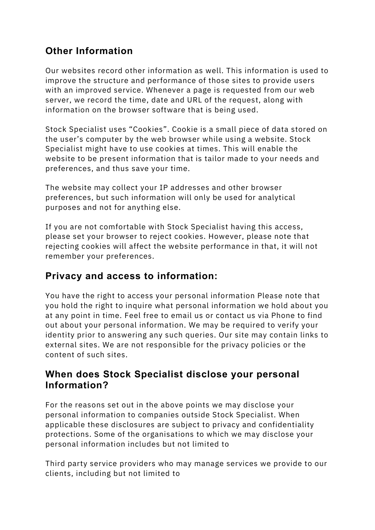# **Other Information**

Our websites record other information as well. This information is used to improve the structure and performance of those sites to provide users with an improved service. Whenever a page is requested from our web server, we record the time, date and URL of the request, along with information on the browser software that is being used.

Stock Specialist uses "Cookies". Cookie is a small piece of data stored on the user's computer by the web browser while using a website. Stock Specialist might have to use cookies at times. This will enable the website to be present information that is tailor made to your needs and preferences, and thus save your time.

The website may collect your IP addresses and other browser preferences, but such information will only be used for analytical purposes and not for anything else.

If you are not comfortable with Stock Specialist having this access, please set your browser to reject cookies. However, please note that rejecting cookies will affect the website performance in that, it will not remember your preferences.

# **Privacy and access to information:**

You have the right to access your personal information Please note that you hold the right to inquire what personal information we hold about you at any point in time. Feel free to email us or contact us via Phone to find out about your personal information. We may be required to verify your identity prior to answering any such queries. Our site may contain links to external sites. We are not responsible for the privacy policies or the content of such sites.

#### **When does Stock Specialist disclose your personal Information?**

For the reasons set out in the above points we may disclose your personal information to companies outside Stock Specialist. When applicable these disclosures are subject to privacy and confidentiality protections. Some of the organisations to which we may disclose your personal information includes but not limited to

Third party service providers who may manage services we provide to our clients, including but not limited to